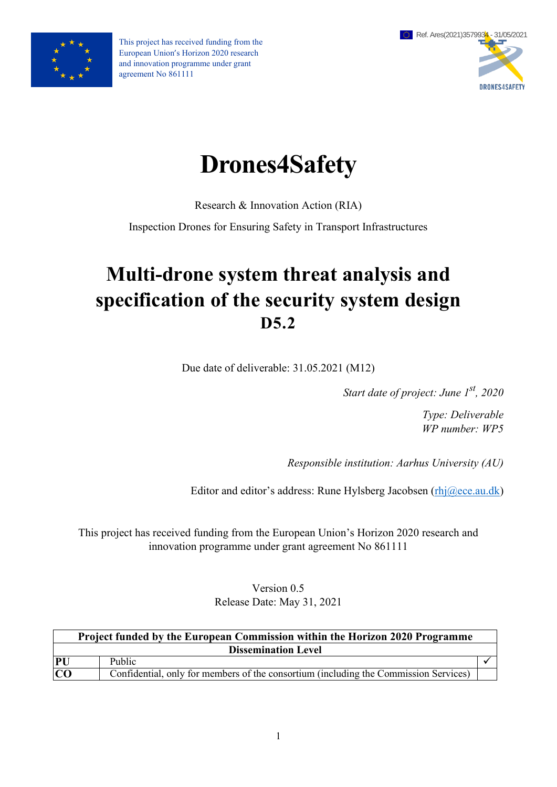

This project has received funding from the European Union's Horizon 2020 research and innovation programme under grant agreement No 861111



# **Drones4Safety**

Research & Innovation Action (RIA)

Inspection Drones for Ensuring Safety in Transport Infrastructures

# **Multi-drone system threat analysis and specification of the security system design D5.2**

Due date of deliverable: 31.05.2021 (M12)

*Start date of project: June 1st, 2020*

*Type: Deliverable WP number: WP5*

*Responsible institution: Aarhus University (AU)*

Editor and editor's address: Rune Hylsberg Jacobsen [\(rhj@ece.au.dk\)](mailto:rhj@ece.au.dk)

This project has received funding from the European Union's Horizon 2020 research and innovation programme under grant agreement No 861111

> Version 0.5 Release Date: May 31, 2021

| Project funded by the European Commission within the Horizon 2020 Programme |                                                                                      |  |  |  |  |
|-----------------------------------------------------------------------------|--------------------------------------------------------------------------------------|--|--|--|--|
| <b>Dissemination Level</b>                                                  |                                                                                      |  |  |  |  |
| PU                                                                          | Public                                                                               |  |  |  |  |
| CO                                                                          | Confidential, only for members of the consortium (including the Commission Services) |  |  |  |  |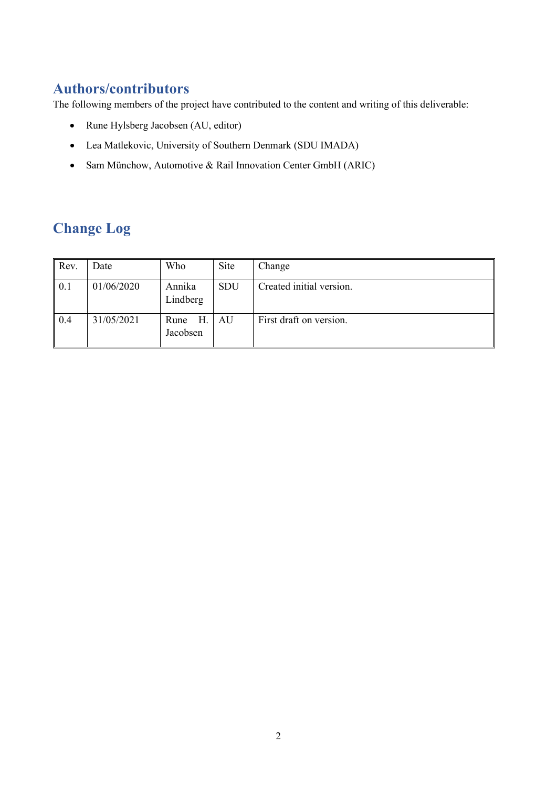# **Authors/contributors**

The following members of the project have contributed to the content and writing of this deliverable:

- Rune Hylsberg Jacobsen (AU, editor)
- Lea Matlekovic, University of Southern Denmark (SDU IMADA)
- Sam Münchow, Automotive & Rail Innovation Center GmbH (ARIC)

# **Change Log**

| Rev. | Date       | Who                    | Site       | Change                   |
|------|------------|------------------------|------------|--------------------------|
| 0.1  | 01/06/2020 | Annika<br>Lindberg     | <b>SDU</b> | Created initial version. |
| 0.4  | 31/05/2021 | H.<br>Rune<br>Jacobsen | AU         | First draft on version.  |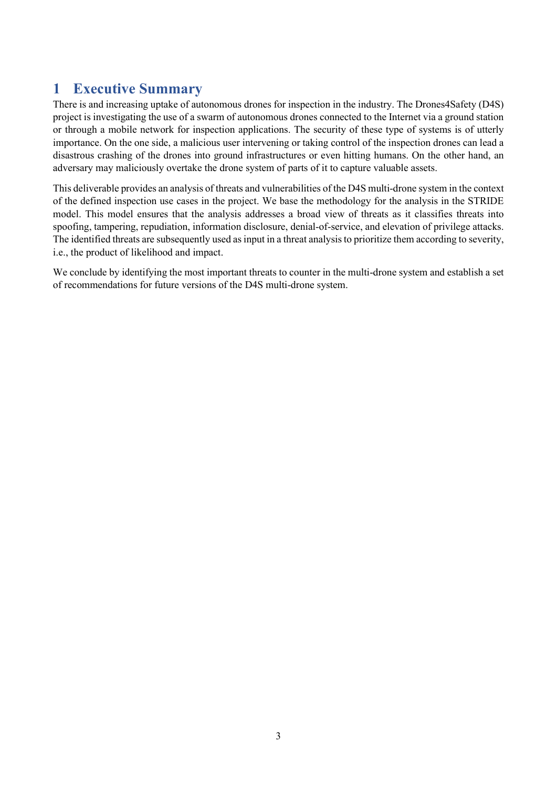# <span id="page-2-0"></span>**1 Executive Summary**

There is and increasing uptake of autonomous drones for inspection in the industry. The Drones4Safety (D4S) project is investigating the use of a swarm of autonomous drones connected to the Internet via a ground station or through a mobile network for inspection applications. The security of these type of systems is of utterly importance. On the one side, a malicious user intervening or taking control of the inspection drones can lead a disastrous crashing of the drones into ground infrastructures or even hitting humans. On the other hand, an adversary may maliciously overtake the drone system of parts of it to capture valuable assets.

This deliverable provides an analysis of threats and vulnerabilities of the D4S multi-drone system in the context of the defined inspection use cases in the project. We base the methodology for the analysis in the STRIDE model. This model ensures that the analysis addresses a broad view of threats as it classifies threats into spoofing, tampering, repudiation, information disclosure, denial-of-service, and elevation of privilege attacks. The identified threats are subsequently used as input in a threat analysis to prioritize them according to severity, i.e., the product of likelihood and impact.

We conclude by identifying the most important threats to counter in the multi-drone system and establish a set of recommendations for future versions of the D4S multi-drone system.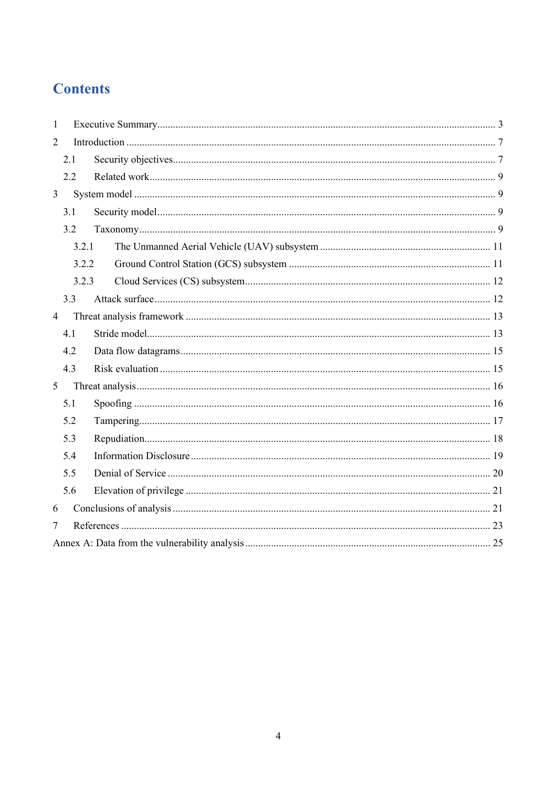# **Contents**

| 1              |       |  |  |  |  |  |  |  |  |
|----------------|-------|--|--|--|--|--|--|--|--|
| $\overline{2}$ |       |  |  |  |  |  |  |  |  |
|                | 2.1   |  |  |  |  |  |  |  |  |
|                | 2.2   |  |  |  |  |  |  |  |  |
| $\overline{3}$ |       |  |  |  |  |  |  |  |  |
|                | 3.1   |  |  |  |  |  |  |  |  |
|                | 3.2   |  |  |  |  |  |  |  |  |
|                | 3.2.1 |  |  |  |  |  |  |  |  |
|                | 3.2.2 |  |  |  |  |  |  |  |  |
|                | 3.2.3 |  |  |  |  |  |  |  |  |
|                | 3.3   |  |  |  |  |  |  |  |  |
| $\overline{4}$ |       |  |  |  |  |  |  |  |  |
|                | 4.1   |  |  |  |  |  |  |  |  |
|                | 4.2   |  |  |  |  |  |  |  |  |
|                | 4.3   |  |  |  |  |  |  |  |  |
| 5              |       |  |  |  |  |  |  |  |  |
|                | 5.1   |  |  |  |  |  |  |  |  |
|                | 5.2   |  |  |  |  |  |  |  |  |
|                | 5.3   |  |  |  |  |  |  |  |  |
|                | 5.4   |  |  |  |  |  |  |  |  |
|                | 5.5   |  |  |  |  |  |  |  |  |
|                | 5.6   |  |  |  |  |  |  |  |  |
| 6              |       |  |  |  |  |  |  |  |  |
| 7              |       |  |  |  |  |  |  |  |  |
|                |       |  |  |  |  |  |  |  |  |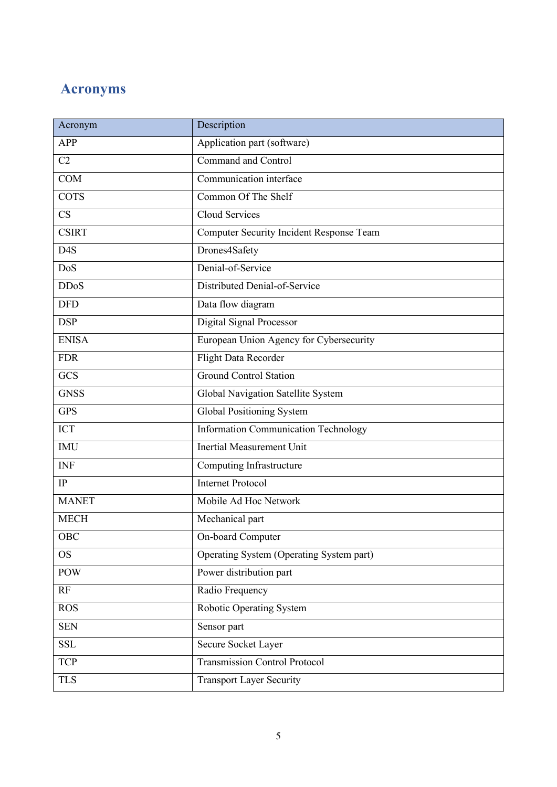# **Acronyms**

| Acronym          | Description                                 |
|------------------|---------------------------------------------|
| <b>APP</b>       | Application part (software)                 |
| C2               | Command and Control                         |
| <b>COM</b>       | Communication interface                     |
| <b>COTS</b>      | Common Of The Shelf                         |
| CS               | Cloud Services                              |
| <b>CSIRT</b>     | Computer Security Incident Response Team    |
| D <sub>4</sub> S | Drones4Safety                               |
| DoS              | Denial-of-Service                           |
| <b>DDoS</b>      | Distributed Denial-of-Service               |
| <b>DFD</b>       | Data flow diagram                           |
| <b>DSP</b>       | <b>Digital Signal Processor</b>             |
| <b>ENISA</b>     | European Union Agency for Cybersecurity     |
| <b>FDR</b>       | Flight Data Recorder                        |
| <b>GCS</b>       | <b>Ground Control Station</b>               |
| <b>GNSS</b>      | Global Navigation Satellite System          |
| <b>GPS</b>       | Global Positioning System                   |
| <b>ICT</b>       | <b>Information Communication Technology</b> |
| <b>IMU</b>       | <b>Inertial Measurement Unit</b>            |
| <b>INF</b>       | Computing Infrastructure                    |
| $\rm IP$         | <b>Internet Protocol</b>                    |
| <b>MANET</b>     | Mobile Ad Hoc Network                       |
| <b>MECH</b>      | Mechanical part                             |
| <b>OBC</b>       | On-board Computer                           |
| <b>OS</b>        | Operating System (Operating System part)    |
| <b>POW</b>       | Power distribution part                     |
| RF               | Radio Frequency                             |
| <b>ROS</b>       | Robotic Operating System                    |
| <b>SEN</b>       | Sensor part                                 |
| <b>SSL</b>       | Secure Socket Layer                         |
| <b>TCP</b>       | <b>Transmission Control Protocol</b>        |
| <b>TLS</b>       | <b>Transport Layer Security</b>             |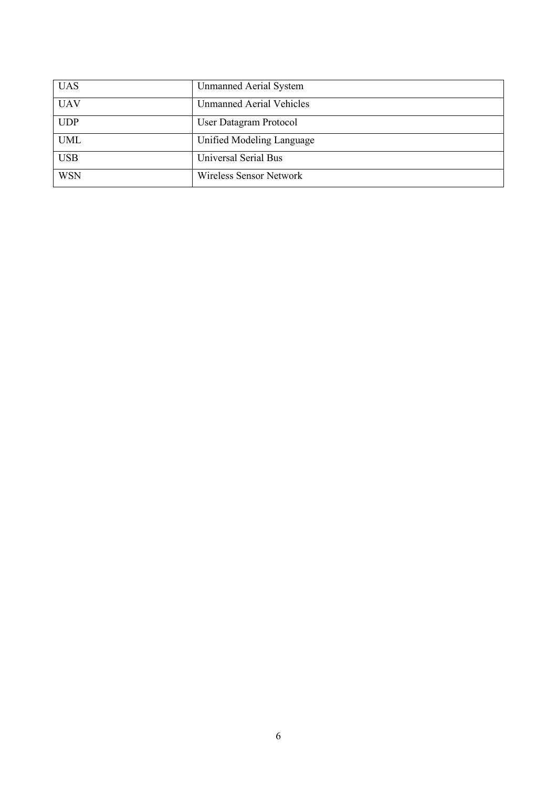| <b>UAS</b> | <b>Unmanned Aerial System</b>   |
|------------|---------------------------------|
| <b>UAV</b> | <b>Unmanned Aerial Vehicles</b> |
| <b>UDP</b> | User Datagram Protocol          |
| <b>UML</b> | Unified Modeling Language       |
| <b>USB</b> | Universal Serial Bus            |
| <b>WSN</b> | Wireless Sensor Network         |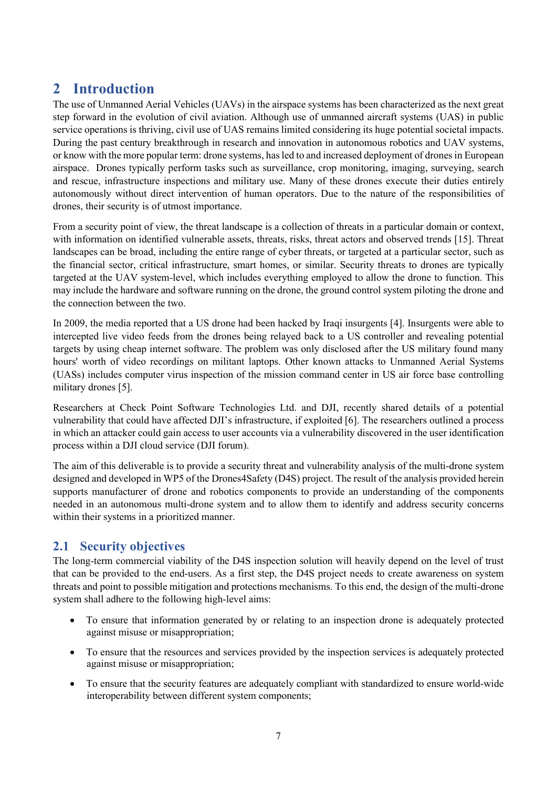# <span id="page-6-0"></span>**2 Introduction**

The use of Unmanned Aerial Vehicles (UAVs) in the airspace systems has been characterized as the next great step forward in the evolution of civil aviation. Although use of unmanned aircraft systems (UAS) in public service operations is thriving, civil use of UAS remains limited considering its huge potential societal impacts. During the past century breakthrough in research and innovation in autonomous robotics and UAV systems, or know with the more popular term: drone systems, has led to and increased deployment of drones in European airspace. Drones typically perform tasks such as surveillance, crop monitoring, imaging, surveying, search and rescue, infrastructure inspections and military use. Many of these drones execute their duties entirely autonomously without direct intervention of human operators. Due to the nature of the responsibilities of drones, their security is of utmost importance.

From a security point of view, the threat landscape is a collection of threats in a particular domain or context, with information on identified vulnerable assets, threats, risks, threat actors and observed trends [\[15\].](#page-22-1) Threat landscapes can be broad, including the entire range of cyber threats, or targeted at a particular sector, such as the financial sector, critical infrastructure, smart homes, or similar. Security threats to drones are typically targeted at the UAV system-level, which includes everything employed to allow the drone to function. This may include the hardware and software running on the drone, the ground control system piloting the drone and the connection between the two.

In 2009, the media reported that a US drone had been hacked by Iraqi insurgents [\[4\].](#page-22-2) Insurgents were able to intercepted live video feeds from the drones being relayed back to a US controller and revealing potential targets by using cheap internet software. The problem was only disclosed after the US military found many hours' worth of video recordings on militant laptops. Other known attacks to Unmanned Aerial Systems (UASs) includes computer virus inspection of the mission command center in US air force base controlling military drones [\[5\].](#page-22-3)

Researchers at Check Point Software Technologies Ltd. and DJI, recently shared details of a potential vulnerability that could have affected DJI's infrastructure, if exploited [\[6\].](#page-22-4) The researchers outlined a process in which an attacker could gain access to user accounts via a vulnerability discovered in the user identification process within a DJI cloud service (DJI forum).

The aim of this deliverable is to provide a security threat and vulnerability analysis of the multi-drone system designed and developed in WP5 of the Drones4Safety (D4S) project. The result of the analysis provided herein supports manufacturer of drone and robotics components to provide an understanding of the components needed in an autonomous multi-drone system and to allow them to identify and address security concerns within their systems in a prioritized manner.

# <span id="page-6-1"></span>**2.1 Security objectives**

The long-term commercial viability of the D4S inspection solution will heavily depend on the level of trust that can be provided to the end-users. As a first step, the D4S project needs to create awareness on system threats and point to possible mitigation and protections mechanisms. To this end, the design of the multi-drone system shall adhere to the following high-level aims:

- To ensure that information generated by or relating to an inspection drone is adequately protected against misuse or misappropriation;
- To ensure that the resources and services provided by the inspection services is adequately protected against misuse or misappropriation;
- To ensure that the security features are adequately compliant with standardized to ensure world-wide interoperability between different system components;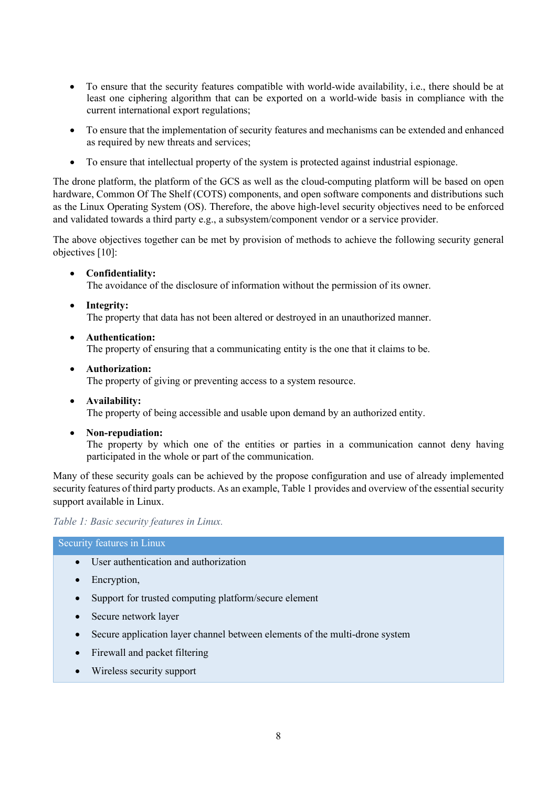- To ensure that the security features compatible with world-wide availability, i.e., there should be at least one ciphering algorithm that can be exported on a world-wide basis in compliance with the current international export regulations;
- To ensure that the implementation of security features and mechanisms can be extended and enhanced as required by new threats and services;
- To ensure that intellectual property of the system is protected against industrial espionage.

The drone platform, the platform of the GCS as well as the cloud-computing platform will be based on open hardware, Common Of The Shelf (COTS) components, and open software components and distributions such as the Linux Operating System (OS). Therefore, the above high-level security objectives need to be enforced and validated towards a third party e.g., a subsystem/component vendor or a service provider.

The above objectives together can be met by provision of methods to achieve the following security general objectives [\[10\]:](#page-22-5)

• **Confidentiality:**

The avoidance of the disclosure of information without the permission of its owner.

• **Integrity:**

The property that data has not been altered or destroyed in an unauthorized manner.

• **Authentication:**

The property of ensuring that a communicating entity is the one that it claims to be.

• **Authorization:**

The property of giving or preventing access to a system resource.

- **Availability:** The property of being accessible and usable upon demand by an authorized entity.
- **Non-repudiation:**

The property by which one of the entities or parties in a communication cannot deny having participated in the whole or part of the communication.

Many of these security goals can be achieved by the propose configuration and use of already implemented security features of third party products. As an example[, Table 1](#page-7-0) provides and overview of the essential security support available in Linux.

#### <span id="page-7-0"></span>*Table 1: Basic security features in Linux.*

#### Security features in Linux

- User authentication and authorization
- Encryption,
- Support for trusted computing platform/secure element
- Secure network layer
- Secure application layer channel between elements of the multi-drone system
- Firewall and packet filtering
- Wireless security support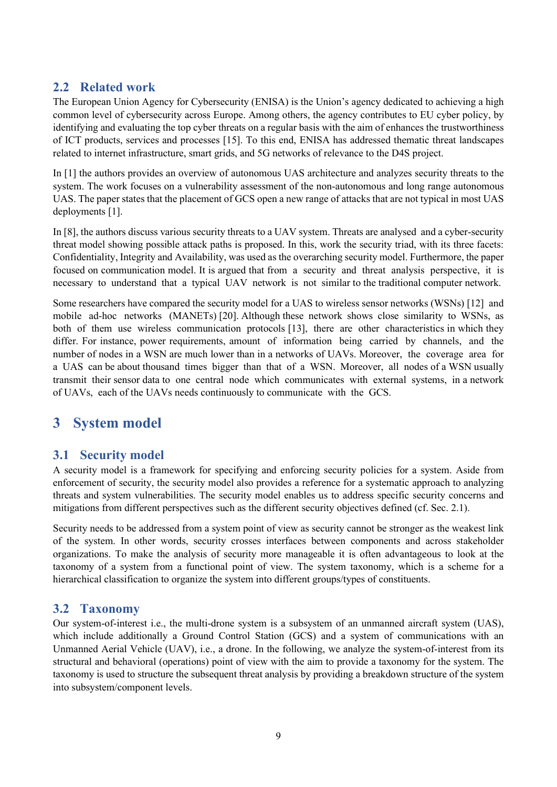## <span id="page-8-0"></span>**2.2 Related work**

The European Union Agency for Cybersecurity (ENISA) is the Union's agency dedicated to achieving a high common level of cybersecurity across Europe. Among others, the agency contributes to EU cyber policy, by identifying and evaluating the top cyber threats on a regular basis with the aim of enhances the trustworthiness of ICT products, services and processes [\[15\].](#page-22-1) To this end, ENISA has addressed thematic threat landscapes related to internet infrastructure, smart grids, and 5G networks of relevance to the D4S project.

In [\[1\]](#page-22-6) the authors provides an overview of autonomous UAS architecture and analyzes security threats to the system. The work focuses on a vulnerability assessment of the non-autonomous and long range autonomous UAS. The paper states that the placement of GCS open a new range of attacks that are not typical in most UAS deployments [1].

In [\[8\],](#page-22-7) the authors discuss various security threats to a UAV system. Threats are analysed and a cyber-security threat model showing possible attack paths is proposed. In this, work the security triad, with its three facets: Confidentiality, Integrity and Availability, was used as the overarching security model. Furthermore, the paper focused on communication model. It is argued that from a security and threat analysis perspective, it is necessary to understand that a typical UAV network is not similar to the traditional computer network.

Some researchers have compared the security model for a UAS to wireless sensor networks (WSNs) [\[12\]](#page-22-8) and mobile ad-hoc networks (MANETs) [\[20\].](#page-23-0) Although these network shows close similarity to WSNs, as both of them use wireless communication protocols [\[13\],](#page-22-9) there are other characteristics in which they differ. For instance, power requirements, amount of information being carried by channels, and the number of nodes in a WSN are much lower than in a networks of UAVs. Moreover, the coverage area for a UAS can be about thousand times bigger than that of a WSN. Moreover, all nodes of a WSN usually transmit their sensor data to one central node which communicates with external systems, in a network of UAVs, each of the UAVs needs continuously to communicate with the GCS.

# <span id="page-8-1"></span>**3 System model**

## <span id="page-8-2"></span>**3.1 Security model**

A security model is a framework for specifying and enforcing security policies for a system. Aside from enforcement of security, the security model also provides a reference for a systematic approach to analyzing threats and system vulnerabilities. The security model enables us to address specific security concerns and mitigations from different perspectives such as the different security objectives defined (cf. Sec. [2.1\)](#page-6-1).

Security needs to be addressed from a system point of view as security cannot be stronger as the weakest link of the system. In other words, security crosses interfaces between components and across stakeholder organizations. To make the analysis of security more manageable it is often advantageous to look at the taxonomy of a system from a functional point of view. The system taxonomy, which is a scheme for a hierarchical classification to organize the system into different groups/types of constituents.

## <span id="page-8-3"></span>**3.2 Taxonomy**

Our system-of-interest i.e., the multi-drone system is a subsystem of an unmanned aircraft system (UAS), which include additionally a Ground Control Station (GCS) and a system of communications with an Unmanned Aerial Vehicle (UAV), i.e., a drone. In the following, we analyze the system-of-interest from its structural and behavioral (operations) point of view with the aim to provide a taxonomy for the system. The taxonomy is used to structure the subsequent threat analysis by providing a breakdown structure of the system into subsystem/component levels.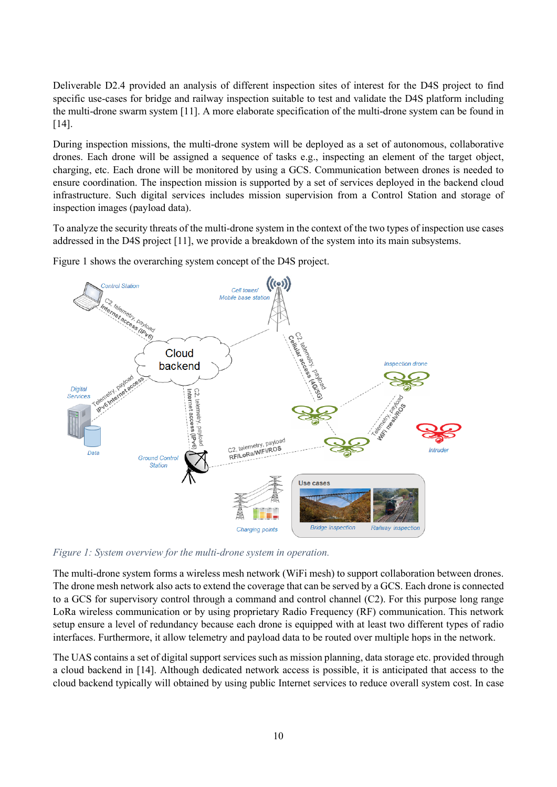Deliverable D2.4 provided an analysis of different inspection sites of interest for the D4S project to find specific use-cases for bridge and railway inspection suitable to test and validate the D4S platform including the multi-drone swarm system [\[11\].](#page-22-10) A more elaborate specification of the multi-drone system can be found in [\[14\].](#page-22-11)

During inspection missions, the multi-drone system will be deployed as a set of autonomous, collaborative drones. Each drone will be assigned a sequence of tasks e.g., inspecting an element of the target object, charging, etc. Each drone will be monitored by using a GCS. Communication between drones is needed to ensure coordination. The inspection mission is supported by a set of services deployed in the backend cloud infrastructure. Such digital services includes mission supervision from a Control Station and storage of inspection images (payload data).

To analyze the security threats of the multi-drone system in the context of the two types of inspection use cases addressed in the D4S project [\[11\],](#page-22-10) we provide a breakdown of the system into its main subsystems.

[Figure 1](#page-9-0) shows the overarching system concept of the D4S project.



<span id="page-9-0"></span>*Figure 1: System overview for the multi-drone system in operation.*

The multi-drone system forms a wireless mesh network (WiFi mesh) to support collaboration between drones. The drone mesh network also acts to extend the coverage that can be served by a GCS. Each drone is connected to a GCS for supervisory control through a command and control channel (C2). For this purpose long range LoRa wireless communication or by using proprietary Radio Frequency (RF) communication. This network setup ensure a level of redundancy because each drone is equipped with at least two different types of radio interfaces. Furthermore, it allow telemetry and payload data to be routed over multiple hops in the network.

The UAS contains a set of digital support services such as mission planning, data storage etc. provided through a cloud backend in [\[14\].](#page-22-11) Although dedicated network access is possible, it is anticipated that access to the cloud backend typically will obtained by using public Internet services to reduce overall system cost. In case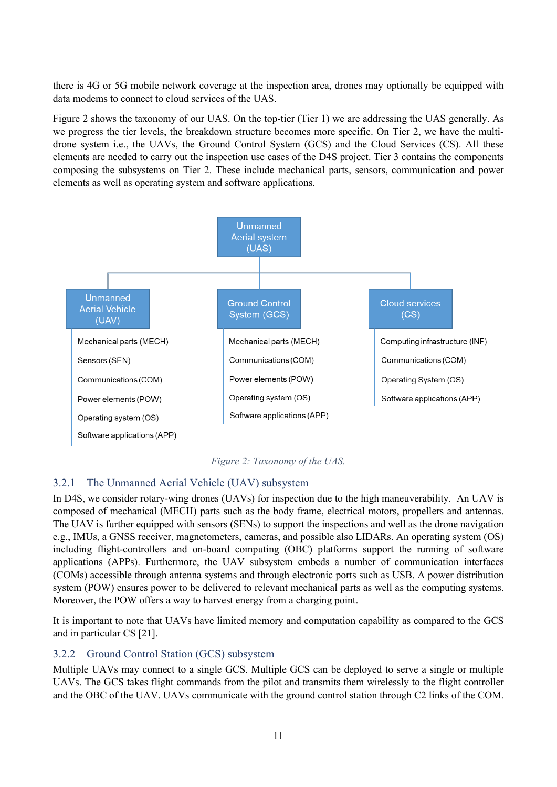there is 4G or 5G mobile network coverage at the inspection area, drones may optionally be equipped with data modems to connect to cloud services of the UAS.

[Figure 2](#page-10-2) shows the taxonomy of our UAS. On the top-tier (Tier 1) we are addressing the UAS generally. As we progress the tier levels, the breakdown structure becomes more specific. On Tier 2, we have the multidrone system i.e., the UAVs, the Ground Control System (GCS) and the Cloud Services (CS). All these elements are needed to carry out the inspection use cases of the D4S project. Tier 3 contains the components composing the subsystems on Tier 2. These include mechanical parts, sensors, communication and power elements as well as operating system and software applications.



*Figure 2: Taxonomy of the UAS.*

#### <span id="page-10-2"></span><span id="page-10-0"></span>3.2.1 The Unmanned Aerial Vehicle (UAV) subsystem

In D4S, we consider rotary-wing drones (UAVs) for inspection due to the high maneuverability. An UAV is composed of mechanical (MECH) parts such as the body frame, electrical motors, propellers and antennas. The UAV is further equipped with sensors (SENs) to support the inspections and well as the drone navigation e.g., IMUs, a GNSS receiver, magnetometers, cameras, and possible also LIDARs. An operating system (OS) including flight-controllers and on-board computing (OBC) platforms support the running of software applications (APPs). Furthermore, the UAV subsystem embeds a number of communication interfaces (COMs) accessible through antenna systems and through electronic ports such as USB. A power distribution system (POW) ensures power to be delivered to relevant mechanical parts as well as the computing systems. Moreover, the POW offers a way to harvest energy from a charging point.

It is important to note that UAVs have limited memory and computation capability as compared to the GCS and in particular C[S \[21\].](#page-23-1)

#### <span id="page-10-1"></span>3.2.2 Ground Control Station (GCS) subsystem

Multiple UAVs may connect to a single GCS. Multiple GCS can be deployed to serve a single or multiple UAVs. The GCS takes flight commands from the pilot and transmits them wirelessly to the flight controller and the OBC of the UAV. UAVs communicate with the ground control station through C2 links of the COM.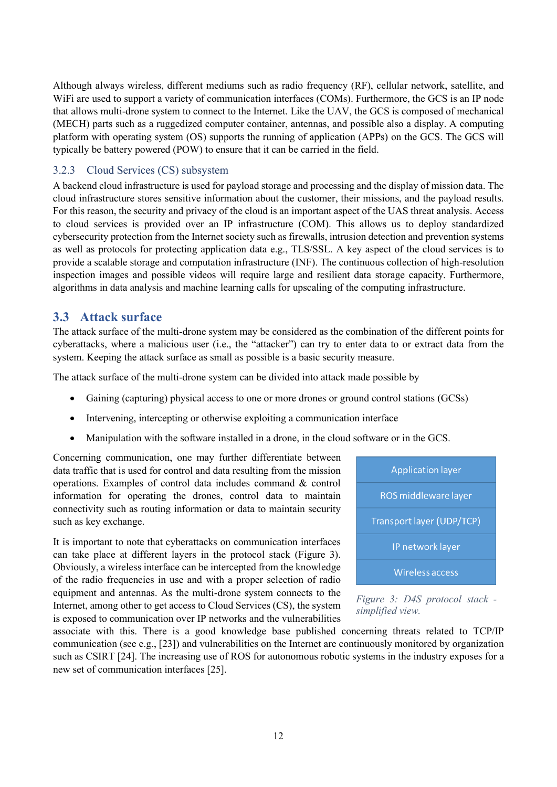Although always wireless, different mediums such as radio frequency (RF), cellular network, satellite, and WiFi are used to support a variety of communication interfaces (COMs). Furthermore, the GCS is an IP node that allows multi-drone system to connect to the Internet. Like the UAV, the GCS is composed of mechanical (MECH) parts such as a ruggedized computer container, antennas, and possible also a display. A computing platform with operating system (OS) supports the running of application (APPs) on the GCS. The GCS will typically be battery powered (POW) to ensure that it can be carried in the field.

#### <span id="page-11-0"></span>3.2.3 Cloud Services (CS) subsystem

A backend cloud infrastructure is used for payload storage and processing and the display of mission data. The cloud infrastructure stores sensitive information about the customer, their missions, and the payload results. For this reason, the security and privacy of the cloud is an important aspect of the UAS threat analysis. Access to cloud services is provided over an IP infrastructure (COM). This allows us to deploy standardized cybersecurity protection from the Internet society such as firewalls, intrusion detection and prevention systems as well as protocols for protecting application data e.g., TLS/SSL. A key aspect of the cloud services is to provide a scalable storage and computation infrastructure (INF). The continuous collection of high-resolution inspection images and possible videos will require large and resilient data storage capacity. Furthermore, algorithms in data analysis and machine learning calls for upscaling of the computing infrastructure.

#### <span id="page-11-1"></span>**3.3 Attack surface**

The attack surface of the multi-drone system may be considered as the combination of the different points for cyberattacks, where a malicious user (i.e., the "attacker") can try to enter data to or extract data from the system. Keeping the attack surface as small as possible is a basic security measure.

The attack surface of the multi-drone system can be divided into attack made possible by

- Gaining (capturing) physical access to one or more drones or ground control stations (GCSs)
- Intervening, intercepting or otherwise exploiting a communication interface
- Manipulation with the software installed in a drone, in the cloud software or in the GCS.

Concerning communication, one may further differentiate between data traffic that is used for control and data resulting from the mission operations. Examples of control data includes command & control information for operating the drones, control data to maintain connectivity such as routing information or data to maintain security such as key exchange.

It is important to note that cyberattacks on communication interfaces can take place at different layers in the protocol stack [\(Figure 3\)](#page-11-2). Obviously, a wireless interface can be intercepted from the knowledge of the radio frequencies in use and with a proper selection of radio equipment and antennas. As the multi-drone system connects to the Internet, among other to get access to Cloud Services (CS), the system is exposed to communication over IP networks and the vulnerabilities

<span id="page-11-2"></span>

*Figure 3: D4S protocol stack simplified view.*

associate with this. There is a good knowledge base published concerning threats related to TCP/IP communication (see e.g., [\[23\]\)](#page-23-2) and vulnerabilities on the Internet are continuously monitored by organization such as CSIRT [\[24\].](#page-23-3) The increasing use of ROS for autonomous robotic systems in the industry exposes for a new set of communication interfaces [\[25\].](#page-23-4)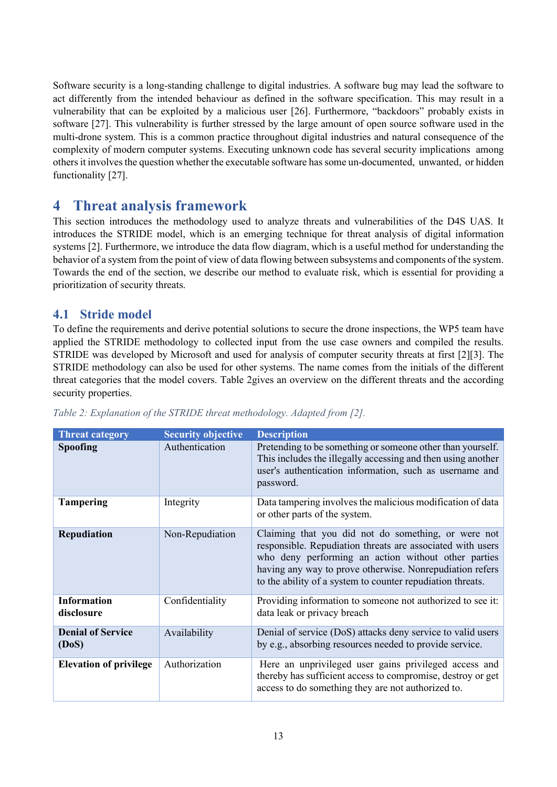Software security is a long-standing challenge to digital industries. A software bug may lead the software to act differently from the intended behaviour as defined in the software specification. This may result in a vulnerability that can be exploited by a malicious user [\[26\].](#page-23-5) Furthermore, "backdoors" probably exists in software [\[27\].](#page-23-6) This vulnerability is further stressed by the large amount of open source software used in the multi-drone system. This is a common practice throughout digital industries and natural consequence of the complexity of modern computer systems. Executing unknown code has several security implications among others it involves the question whether the executable software has some un-documented, unwanted, or hidden functionality [\[27\].](#page-23-6)

# <span id="page-12-0"></span>**4 Threat analysis framework**

This section introduces the methodology used to analyze threats and vulnerabilities of the D4S UAS. It introduces the STRIDE model, which is an emerging technique for threat analysis of digital information systems [\[2\].](#page-22-12) Furthermore, we introduce the data flow diagram, which is a useful method for understanding the behavior of a system from the point of view of data flowing between subsystems and components of the system. Towards the end of the section, we describe our method to evaluate risk, which is essential for providing a prioritization of security threats.

#### <span id="page-12-1"></span>**4.1 Stride model**

To define the requirements and derive potential solutions to secure the drone inspections, the WP5 team have applied the STRIDE methodology to collected input from the use case owners and compiled the results. STRIDE was developed by Microsoft and used for analysis of computer security threats at first [\[2\]](#page-22-12)[\[3\].](#page-22-13) The STRIDE methodology can also be used for other systems. The name comes from the initials of the different threat categories that the model covers. [Table 2g](#page-12-2)ives an overview on the different threats and the according security properties.

| <b>Threat category</b>            | <b>Security objective</b> | <b>Description</b>                                                                                                                                                                                                                                                                                 |
|-----------------------------------|---------------------------|----------------------------------------------------------------------------------------------------------------------------------------------------------------------------------------------------------------------------------------------------------------------------------------------------|
| <b>Spoofing</b>                   | Authentication            | Pretending to be something or someone other than yourself.<br>This includes the illegally accessing and then using another<br>user's authentication information, such as username and<br>password.                                                                                                 |
| <b>Tampering</b>                  | Integrity                 | Data tampering involves the malicious modification of data<br>or other parts of the system.                                                                                                                                                                                                        |
| Repudiation                       | Non-Repudiation           | Claiming that you did not do something, or were not<br>responsible. Repudiation threats are associated with users<br>who deny performing an action without other parties<br>having any way to prove otherwise. Nonrepudiation refers<br>to the ability of a system to counter repudiation threats. |
| <b>Information</b><br>disclosure  | Confidentiality           | Providing information to someone not authorized to see it:<br>data leak or privacy breach                                                                                                                                                                                                          |
| <b>Denial of Service</b><br>(DoS) | Availability              | Denial of service (DoS) attacks deny service to valid users<br>by e.g., absorbing resources needed to provide service.                                                                                                                                                                             |
| <b>Elevation of privilege</b>     | Authorization             | Here an unprivileged user gains privileged access and<br>thereby has sufficient access to compromise, destroy or get<br>access to do something they are not authorized to.                                                                                                                         |

<span id="page-12-2"></span>*Table 2: Explanation of the STRIDE threat methodology. Adapted from [\[2\].](#page-22-12)*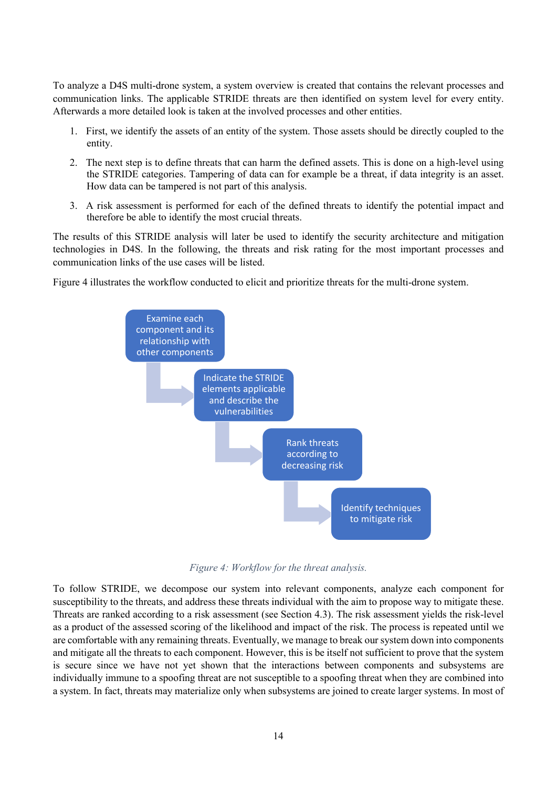To analyze a D4S multi-drone system, a system overview is created that contains the relevant processes and communication links. The applicable STRIDE threats are then identified on system level for every entity. Afterwards a more detailed look is taken at the involved processes and other entities.

- 1. First, we identify the assets of an entity of the system. Those assets should be directly coupled to the entity.
- 2. The next step is to define threats that can harm the defined assets. This is done on a high-level using the STRIDE categories. Tampering of data can for example be a threat, if data integrity is an asset. How data can be tampered is not part of this analysis.
- 3. A risk assessment is performed for each of the defined threats to identify the potential impact and therefore be able to identify the most crucial threats.

The results of this STRIDE analysis will later be used to identify the security architecture and mitigation technologies in D4S. In the following, the threats and risk rating for the most important processes and communication links of the use cases will be listed.

[Figure 4](#page-13-0) illustrates the workflow conducted to elicit and prioritize threats for the multi-drone system.



*Figure 4: Workflow for the threat analysis.*

<span id="page-13-0"></span>To follow STRIDE, we decompose our system into relevant components, analyze each component for susceptibility to the threats, and address these threats individual with the aim to propose way to mitigate these. Threats are ranked according to a risk assessment (see Section [4.3\)](#page-14-1). The risk assessment yields the risk-level as a product of the assessed scoring of the likelihood and impact of the risk. The process is repeated until we are comfortable with any remaining threats. Eventually, we manage to break our system down into components and mitigate all the threats to each component. However, this is be itself not sufficient to prove that the system is secure since we have not yet shown that the interactions between components and subsystems are individually immune to a spoofing threat are not susceptible to a spoofing threat when they are combined into a system. In fact, threats may materialize only when subsystems are joined to create larger systems. In most of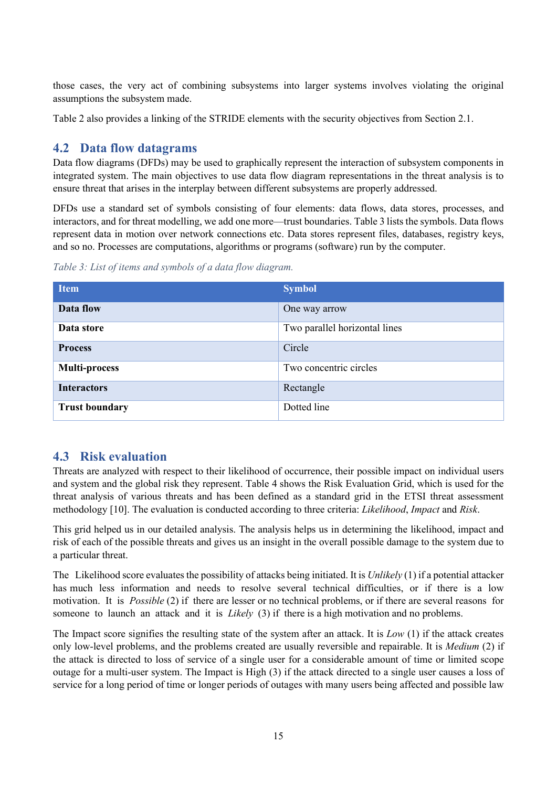those cases, the very act of combining subsystems into larger systems involves violating the original assumptions the subsystem made.

[Table 2](#page-12-2) also provides a linking of the STRIDE elements with the security objectives from Section [2.1.](#page-6-1)

## <span id="page-14-0"></span>**4.2 Data flow datagrams**

Data flow diagrams (DFDs) may be used to graphically represent the interaction of subsystem components in integrated system. The main objectives to use data flow diagram representations in the threat analysis is to ensure threat that arises in the interplay between different subsystems are properly addressed.

DFDs use a standard set of symbols consisting of four elements: data flows, data stores, processes, and interactors, and for threat modelling, we add one more—trust boundaries[. Table 3](#page-14-2) lists the symbols. Data flows represent data in motion over network connections etc. Data stores represent files, databases, registry keys, and so no. Processes are computations, algorithms or programs (software) run by the computer.

<span id="page-14-2"></span>*Table 3: List of items and symbols of a data flow diagram.*

| <b>Item</b>           | <b>Symbol</b>                 |
|-----------------------|-------------------------------|
| Data flow             | One way arrow                 |
| Data store            | Two parallel horizontal lines |
| <b>Process</b>        | Circle                        |
| <b>Multi-process</b>  | Two concentric circles        |
| <b>Interactors</b>    | Rectangle                     |
| <b>Trust boundary</b> | Dotted line                   |

## <span id="page-14-1"></span>**4.3 Risk evaluation**

Threats are analyzed with respect to their likelihood of occurrence, their possible impact on individual users and system and the global risk they represent. [Table 4](#page-15-2) shows the Risk Evaluation Grid, which is used for the threat analysis of various threats and has been defined as a standard grid in the ETSI threat assessment methodology [\[10\].](#page-22-5) The evaluation is conducted according to three criteria: *Likelihood*, *Impact* and *Risk*.

This grid helped us in our detailed analysis. The analysis helps us in determining the likelihood, impact and risk of each of the possible threats and gives us an insight in the overall possible damage to the system due to a particular threat.

The Likelihood score evaluates the possibility of attacks being initiated. It is *Unlikely* (1) if a potential attacker has much less information and needs to resolve several technical difficulties, or if there is a low motivation. It is *Possible* (2) if there are lesser or no technical problems, or if there are several reasons for someone to launch an attack and it is *Likely* (3) if there is a high motivation and no problems.

The Impact score signifies the resulting state of the system after an attack. It is *Low* (1) if the attack creates only low-level problems, and the problems created are usually reversible and repairable. It is *Medium* (2) if the attack is directed to loss of service of a single user for a considerable amount of time or limited scope outage for a multi-user system. The Impact is High (3) if the attack directed to a single user causes a loss of service for a long period of time or longer periods of outages with many users being affected and possible law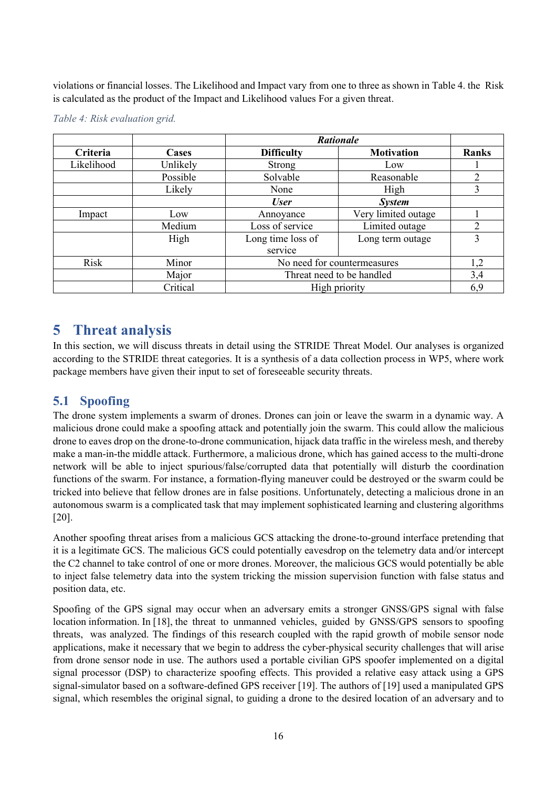violations or financial losses. The Likelihood and Impact vary from one to three as shown in [Table 4.](#page-15-2) the Risk is calculated as the product of the Impact and Likelihood values For a given threat.

|            |          |                   | <b>Rationale</b>            |               |  |  |  |
|------------|----------|-------------------|-----------------------------|---------------|--|--|--|
| Criteria   | Cases    | <b>Difficulty</b> | <b>Motivation</b>           | <b>Ranks</b>  |  |  |  |
| Likelihood | Unlikely | <b>Strong</b>     | Low                         |               |  |  |  |
|            | Possible | Solvable          | Reasonable                  | 2             |  |  |  |
|            | Likely   | None              | High                        | 3             |  |  |  |
|            |          | <b>User</b>       | <b>System</b>               |               |  |  |  |
| Impact     | Low      | Annoyance         | Very limited outage         |               |  |  |  |
|            | Medium   | Loss of service   | Limited outage              | $\mathcal{D}$ |  |  |  |
|            | High     | Long time loss of | Long term outage            | 3             |  |  |  |
|            |          | service           |                             |               |  |  |  |
| Risk       | Minor    |                   | No need for countermeasures | 1,2           |  |  |  |
|            | Major    |                   | Threat need to be handled   | 3,4           |  |  |  |
|            | Critical |                   | High priority               | 6,9           |  |  |  |

#### <span id="page-15-2"></span>*Table 4: Risk evaluation grid.*

# <span id="page-15-0"></span>**5 Threat analysis**

In this section, we will discuss threats in detail using the STRIDE Threat Model. Our analyses is organized according to the STRIDE threat categories. It is a synthesis of a data collection process in WP5, where work package members have given their input to set of foreseeable security threats.

## <span id="page-15-1"></span>**5.1 Spoofing**

The drone system implements a swarm of drones. Drones can join or leave the swarm in a dynamic way. A malicious drone could make a spoofing attack and potentially join the swarm. This could allow the malicious drone to eaves drop on the drone-to-drone communication, hijack data traffic in the wireless mesh, and thereby make a man-in-the middle attack. Furthermore, a malicious drone, which has gained access to the multi-drone network will be able to inject spurious/false/corrupted data that potentially will disturb the coordination functions of the swarm. For instance, a formation-flying maneuver could be destroyed or the swarm could be tricked into believe that fellow drones are in false positions. Unfortunately, detecting a malicious drone in an autonomous swarm is a complicated task that may implement sophisticated learning and clustering algorithms [\[20\].](#page-23-0)

Another spoofing threat arises from a malicious GCS attacking the drone-to-ground interface pretending that it is a legitimate GCS. The malicious GCS could potentially eavesdrop on the telemetry data and/or intercept the C2 channel to take control of one or more drones. Moreover, the malicious GCS would potentially be able to inject false telemetry data into the system tricking the mission supervision function with false status and position data, etc.

Spoofing of the GPS signal may occur when an adversary emits a stronger GNSS/GPS signal with false location information. I[n \[18\],](#page-23-7) the threat to unmanned vehicles, guided by GNSS/GPS sensors to spoofing threats, was analyzed. The findings of this research coupled with the rapid growth of mobile sensor node applications, make it necessary that we begin to address the cyber-physical security challenges that will arise from drone sensor node in use. The authors used a portable civilian GPS spoofer implemented on a digital signal processor (DSP) to characterize spoofing effects. This provided a relative easy attack using a GPS signal-simulator based on a software-defined GPS receiver [\[19\].](#page-23-8) The authors of [\[19\]](#page-23-8) used a manipulated GPS signal, which resembles the original signal, to guiding a drone to the desired location of an adversary and to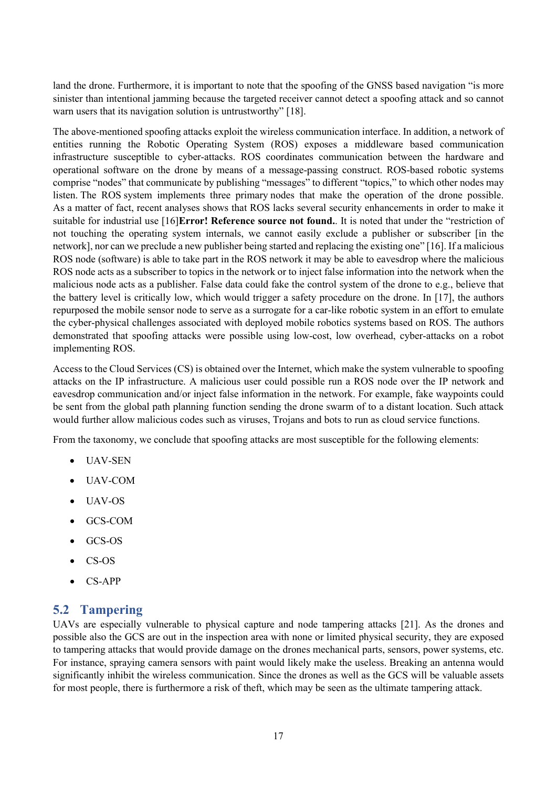land the drone. Furthermore, it is important to note that the spoofing of the GNSS based navigation "is more sinister than intentional jamming because the targeted receiver cannot detect a spoofing attack and so cannot warn users that its navigation solution is untrustworthy" [\[18\].](#page-23-7)

The above-mentioned spoofing attacks exploit the wireless communication interface. In addition, a network of entities running the Robotic Operating System (ROS) exposes a middleware based communication infrastructure susceptible to cyber-attacks. ROS coordinates communication between the hardware and operational software on the drone by means of a message-passing construct. ROS-based robotic systems comprise "nodes" that communicate by publishing "messages" to different "topics," to which other nodes may listen. The ROS system implements three primary nodes that make the operation of the drone possible. As a matter of fact, recent analyses shows that ROS lacks several security enhancements in order to make it suitable for industrial use [\[16\]](#page-23-9)**Error! Reference source not found.**. It is noted that under the "restriction of not touching the operating system internals, we cannot easily exclude a publisher or subscriber [in the network], nor can we preclude a new publisher being started and replacing the existing one" [\[16\].](#page-23-9) If a malicious ROS node (software) is able to take part in the ROS network it may be able to eavesdrop where the malicious ROS node acts as a subscriber to topics in the network or to inject false information into the network when the malicious node acts as a publisher. False data could fake the control system of the drone to e.g., believe that the battery level is critically low, which would trigger a safety procedure on the drone. In [\[17\],](#page-23-10) the authors repurposed the mobile sensor node to serve as a surrogate for a car-like robotic system in an effort to emulate the cyber-physical challenges associated with deployed mobile robotics systems based on ROS. The authors demonstrated that spoofing attacks were possible using low-cost, low overhead, cyber-attacks on a robot implementing ROS.

Access to the Cloud Services (CS) is obtained over the Internet, which make the system vulnerable to spoofing attacks on the IP infrastructure. A malicious user could possible run a ROS node over the IP network and eavesdrop communication and/or inject false information in the network. For example, fake waypoints could be sent from the global path planning function sending the drone swarm of to a distant location. Such attack would further allow malicious codes such as viruses, Trojans and bots to run as cloud service functions.

From the taxonomy, we conclude that spoofing attacks are most susceptible for the following elements:

- UAV-SEN
- UAV-COM
- UAV-OS
- GCS-COM
- GCS-OS
- CS-OS
- CS-APP

#### <span id="page-16-0"></span>**5.2 Tampering**

UAVs are especially vulnerable to physical capture and node tampering attacks [\[21\].](#page-23-1) As the drones and possible also the GCS are out in the inspection area with none or limited physical security, they are exposed to tampering attacks that would provide damage on the drones mechanical parts, sensors, power systems, etc. For instance, spraying camera sensors with paint would likely make the useless. Breaking an antenna would significantly inhibit the wireless communication. Since the drones as well as the GCS will be valuable assets for most people, there is furthermore a risk of theft, which may be seen as the ultimate tampering attack.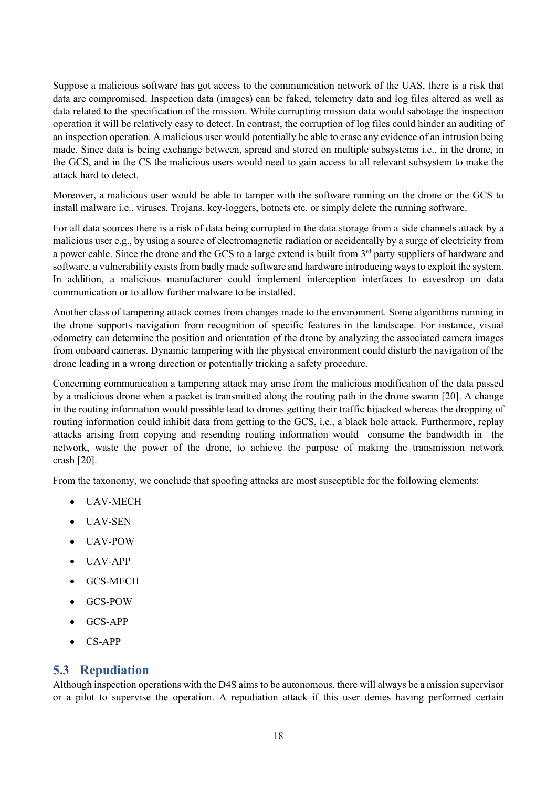Suppose a malicious software has got access to the communication network of the UAS, there is a risk that data are compromised. Inspection data (images) can be faked, telemetry data and log files altered as well as data related to the specification of the mission. While corrupting mission data would sabotage the inspection operation it will be relatively easy to detect. In contrast, the corruption of log files could hinder an auditing of an inspection operation. A malicious user would potentially be able to erase any evidence of an intrusion being made. Since data is being exchange between, spread and stored on multiple subsystems i.e., in the drone, in the GCS, and in the CS the malicious users would need to gain access to all relevant subsystem to make the attack hard to detect.

Moreover, a malicious user would be able to tamper with the software running on the drone or the GCS to install malware i.e., viruses, Trojans, key-loggers, botnets etc. or simply delete the running software.

For all data sources there is a risk of data being corrupted in the data storage from a side channels attack by a malicious user e.g., by using a source of electromagnetic radiation or accidentally by a surge of electricity from a power cable. Since the drone and the GCS to a large extend is built from 3<sup>rd</sup> party suppliers of hardware and software, a vulnerability exists from badly made software and hardware introducing ways to exploit the system. In addition, a malicious manufacturer could implement interception interfaces to eavesdrop on data communication or to allow further malware to be installed.

Another class of tampering attack comes from changes made to the environment. Some algorithms running in the drone supports navigation from recognition of specific features in the landscape. For instance, visual odometry can determine the position and orientation of the drone by analyzing the associated camera images from onboard cameras. Dynamic tampering with the physical environment could disturb the navigation of the drone leading in a wrong direction or potentially tricking a safety procedure.

Concerning communication a tampering attack may arise from the malicious modification of the data passed by a malicious drone when a packet is transmitted along the routing path in the drone swarm [\[20\].](#page-23-0) A change in the routing information would possible lead to drones getting their traffic hijacked whereas the dropping of routing information could inhibit data from getting to the GCS, i.e., a black hole attack. Furthermore, replay attacks arising from copying and resending routing information would consume the bandwidth in the network, waste the power of the drone, to achieve the purpose of making the transmission network crash [\[20\].](#page-23-0)

From the taxonomy, we conclude that spoofing attacks are most susceptible for the following elements:

- UAV-MECH
- UAV-SEN
- UAV-POW
- UAV-APP
- GCS-MECH
- GCS-POW
- GCS-APP
- CS-APP

## <span id="page-17-0"></span>**5.3 Repudiation**

Although inspection operations with the D4S aims to be autonomous, there will always be a mission supervisor or a pilot to supervise the operation. A repudiation attack if this user denies having performed certain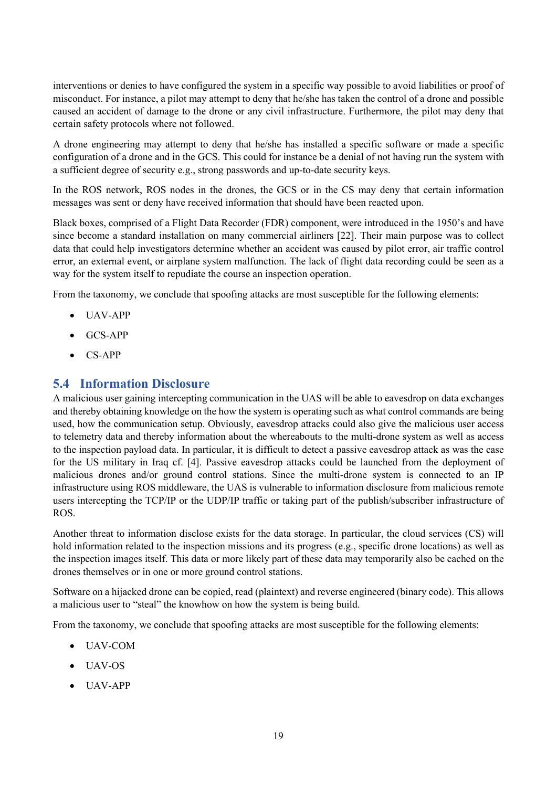interventions or denies to have configured the system in a specific way possible to avoid liabilities or proof of misconduct. For instance, a pilot may attempt to deny that he/she has taken the control of a drone and possible caused an accident of damage to the drone or any civil infrastructure. Furthermore, the pilot may deny that certain safety protocols where not followed.

A drone engineering may attempt to deny that he/she has installed a specific software or made a specific configuration of a drone and in the GCS. This could for instance be a denial of not having run the system with a sufficient degree of security e.g., strong passwords and up-to-date security keys.

In the ROS network, ROS nodes in the drones, the GCS or in the CS may deny that certain information messages was sent or deny have received information that should have been reacted upon.

Black boxes, comprised of a Flight Data Recorder (FDR) component, were introduced in the 1950's and have since become a standard installation on many commercial airliners [\[22\].](#page-23-11) Their main purpose was to collect data that could help investigators determine whether an accident was caused by pilot error, air traffic control error, an external event, or airplane system malfunction. The lack of flight data recording could be seen as a way for the system itself to repudiate the course an inspection operation.

From the taxonomy, we conclude that spoofing attacks are most susceptible for the following elements:

- UAV-APP
- GCS-APP
- CS-APP

#### <span id="page-18-0"></span>**5.4 Information Disclosure**

A malicious user gaining intercepting communication in the UAS will be able to eavesdrop on data exchanges and thereby obtaining knowledge on the how the system is operating such as what control commands are being used, how the communication setup. Obviously, eavesdrop attacks could also give the malicious user access to telemetry data and thereby information about the whereabouts to the multi-drone system as well as access to the inspection payload data. In particular, it is difficult to detect a passive eavesdrop attack as was the case for the US military in Iraq cf. [\[4\].](#page-22-2) Passive eavesdrop attacks could be launched from the deployment of malicious drones and/or ground control stations. Since the multi-drone system is connected to an IP infrastructure using ROS middleware, the UAS is vulnerable to information disclosure from malicious remote users intercepting the TCP/IP or the UDP/IP traffic or taking part of the publish/subscriber infrastructure of ROS.

Another threat to information disclose exists for the data storage. In particular, the cloud services (CS) will hold information related to the inspection missions and its progress (e.g., specific drone locations) as well as the inspection images itself. This data or more likely part of these data may temporarily also be cached on the drones themselves or in one or more ground control stations.

Software on a hijacked drone can be copied, read (plaintext) and reverse engineered (binary code). This allows a malicious user to "steal" the knowhow on how the system is being build.

From the taxonomy, we conclude that spoofing attacks are most susceptible for the following elements:

- UAV-COM
- UAV-OS
- UAV-APP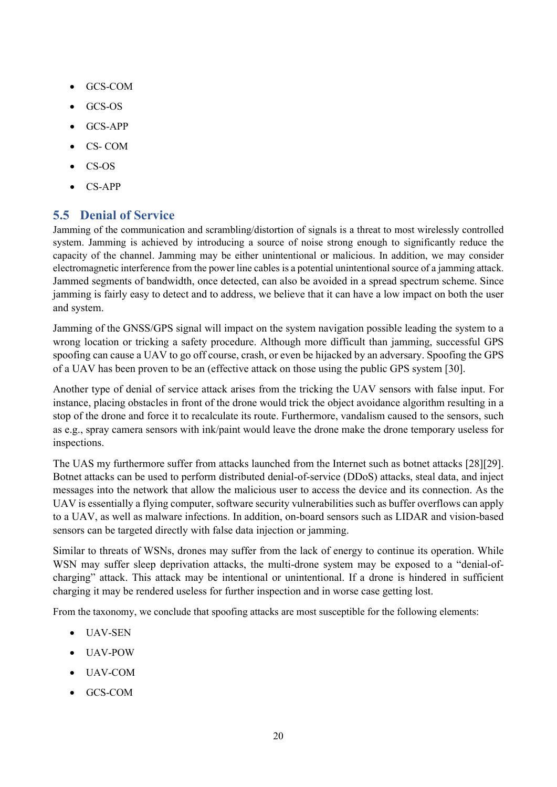- GCS-COM
- GCS-OS
- GCS-APP
- CS- COM
- CS-OS
- CS-APP

## <span id="page-19-0"></span>**5.5 Denial of Service**

Jamming of the communication and scrambling/distortion of signals is a threat to most wirelessly controlled system. Jamming is achieved by introducing a source of noise strong enough to significantly reduce the capacity of the channel. Jamming may be either unintentional or malicious. In addition, we may consider electromagnetic interference from the power line cables is a potential unintentional source of a jamming attack. Jammed segments of bandwidth, once detected, can also be avoided in a spread spectrum scheme. Since jamming is fairly easy to detect and to address, we believe that it can have a low impact on both the user and system.

Jamming of the GNSS/GPS signal will impact on the system navigation possible leading the system to a wrong location or tricking a safety procedure. Although more difficult than jamming, successful GPS spoofing can cause a UAV to go off course, crash, or even be hijacked by an adversary. Spoofing the GPS of a UAV has been proven to be an (effective attack on those using the public GPS system [\[30\].](#page-23-12)

Another type of denial of service attack arises from the tricking the UAV sensors with false input. For instance, placing obstacles in front of the drone would trick the object avoidance algorithm resulting in a stop of the drone and force it to recalculate its route. Furthermore, vandalism caused to the sensors, such as e.g., spray camera sensors with ink/paint would leave the drone make the drone temporary useless for inspections.

The UAS my furthermore suffer from attacks launched from the Internet such as botnet attacks [\[28\]](#page-23-13)[\[29\].](#page-23-14) Botnet attacks can be used to perform distributed denial-of-service (DDoS) attacks, steal data, and inject messages into the network that allow the malicious user to access the device and its connection. As the UAV is essentially a flying computer, software security vulnerabilities such as buffer overflows can apply to a UAV, as well as malware infections. In addition, on-board sensors such as LIDAR and vision-based sensors can be targeted directly with false data injection or jamming.

Similar to threats of WSNs, drones may suffer from the lack of energy to continue its operation. While WSN may suffer sleep deprivation attacks, the multi-drone system may be exposed to a "denial-ofcharging" attack. This attack may be intentional or unintentional. If a drone is hindered in sufficient charging it may be rendered useless for further inspection and in worse case getting lost.

From the taxonomy, we conclude that spoofing attacks are most susceptible for the following elements:

- UAV-SEN
- UAV-POW
- UAV-COM
- GCS-COM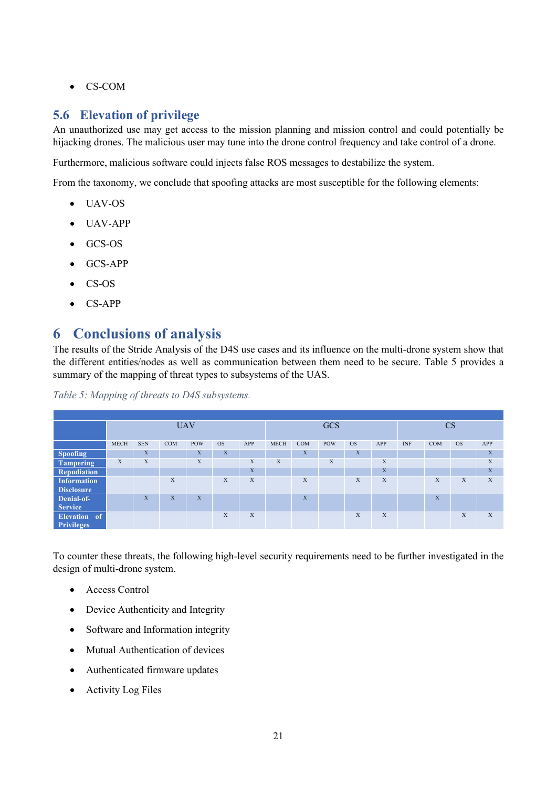• CS-COM

## <span id="page-20-0"></span>**5.6 Elevation of privilege**

An unauthorized use may get access to the mission planning and mission control and could potentially be hijacking drones. The malicious user may tune into the drone control frequency and take control of a drone.

Furthermore, malicious software could injects false ROS messages to destabilize the system.

From the taxonomy, we conclude that spoofing attacks are most susceptible for the following elements:

- UAV-OS
- UAV-APP
- GCS-OS
- GCS-APP
- CS-OS
- CS-APP

# <span id="page-20-1"></span>**6 Conclusions of analysis**

The results of the Stride Analysis of the D4S use cases and its influence on the multi-drone system show that the different entities/nodes as well as communication between them need to be secure. [Table 5](#page-20-2) provides a summary of the mapping of threat types to subsystems of the UAS.

<span id="page-20-2"></span>*Table 5: Mapping of threats to D4S subsystems.*

|                    | <b>UAV</b>  |            |            |             |           |             | <b>GCS</b>  |            |            |           | CS          |            |     |           |     |
|--------------------|-------------|------------|------------|-------------|-----------|-------------|-------------|------------|------------|-----------|-------------|------------|-----|-----------|-----|
|                    | <b>MECH</b> | <b>SEN</b> | <b>COM</b> | <b>POW</b>  | <b>OS</b> | APP         | <b>MECH</b> | <b>COM</b> | <b>POW</b> | <b>OS</b> | APP         | <b>INF</b> | COM | <b>OS</b> | APP |
| <b>Spoofing</b>    |             | X          |            | X           | X         |             |             | X          |            | X         |             |            |     |           | X   |
| Tampering          | X           | X          |            | $\mathbf X$ |           | X           | X           |            | X          |           | X           |            |     |           | X   |
| Repudiation        |             |            |            |             |           | $\mathbf X$ |             |            |            |           | $\mathbf X$ |            |     |           | X   |
| <b>Information</b> |             |            | X          |             | X         | X           |             | X          |            | X         | X           |            | X   | X         | X   |
| <b>Disclosure</b>  |             |            |            |             |           |             |             |            |            |           |             |            |     |           |     |
| Denial-of-         |             | X          | X          | X           |           |             |             | X          |            |           |             |            | X   |           |     |
| <b>Service</b>     |             |            |            |             |           |             |             |            |            |           |             |            |     |           |     |
| Elevation of       |             |            |            |             | X         | X           |             |            |            | X         | X           |            |     | X         | X   |
| <b>Privileges</b>  |             |            |            |             |           |             |             |            |            |           |             |            |     |           |     |

To counter these threats, the following high-level security requirements need to be further investigated in the design of multi-drone system.

- Access Control
- Device Authenticity and Integrity
- Software and Information integrity
- Mutual Authentication of devices
- Authenticated firmware updates
- Activity Log Files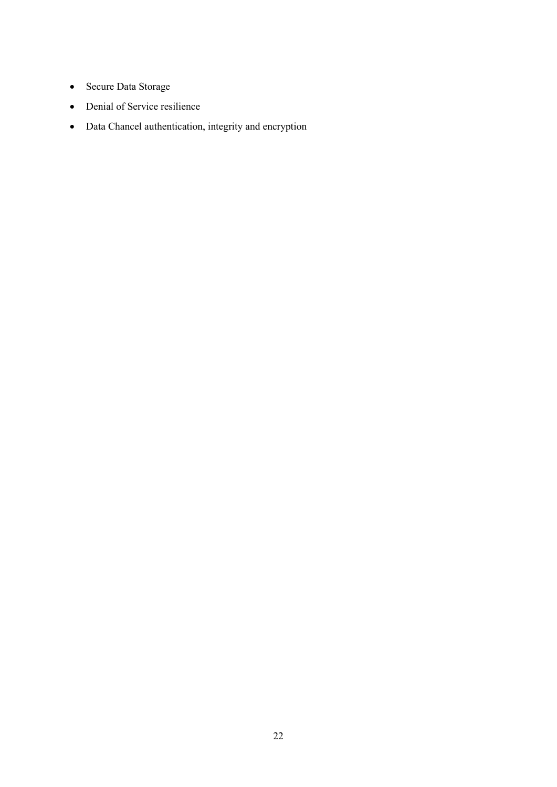- Secure Data Storage
- Denial of Service resilience
- Data Chancel authentication, integrity and encryption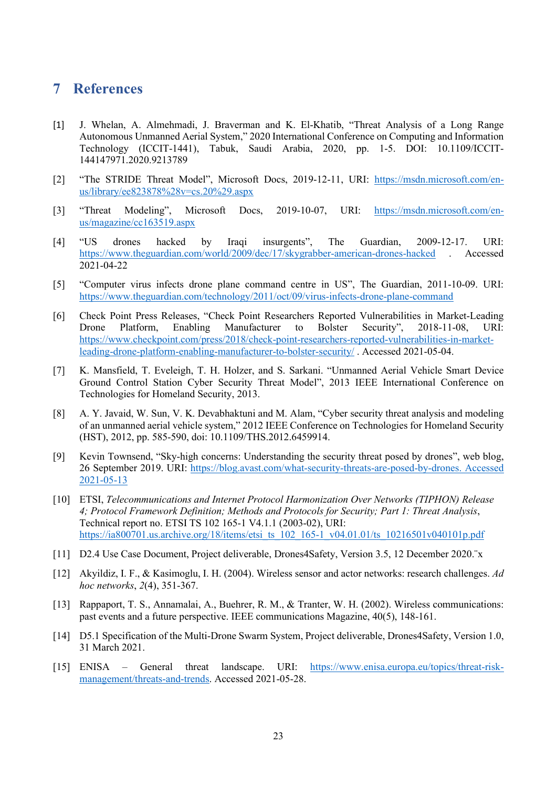## <span id="page-22-0"></span>**7 References**

- <span id="page-22-6"></span>[1] J. Whelan, A. Almehmadi, J. Braverman and K. El-Khatib, "Threat Analysis of a Long Range Autonomous Unmanned Aerial System," 2020 International Conference on Computing and Information Technology (ICCIT-1441), Tabuk, Saudi Arabia, 2020, pp. 1-5. DOI: 10.1109/ICCIT-144147971.2020.9213789
- <span id="page-22-12"></span>[2] "The STRIDE Threat Model", Microsoft Docs, 2019-12-11, URI: [https://msdn.microsoft.com/en](https://msdn.microsoft.com/en-us/library/ee823878%28v=cs.20%29.aspx)[us/library/ee823878%28v=cs.20%29.aspx](https://msdn.microsoft.com/en-us/library/ee823878%28v=cs.20%29.aspx)
- <span id="page-22-13"></span>[3] "Threat Modeling", Microsoft Docs, 2019-10-07, URI: [https://msdn.microsoft.com/en](https://msdn.microsoft.com/en-us/magazine/cc163519.aspx)[us/magazine/cc163519.aspx](https://msdn.microsoft.com/en-us/magazine/cc163519.aspx)
- <span id="page-22-2"></span>[4] "US drones hacked by Iraqi insurgents", The Guardian, 2009-12-17. URI: <https://www.theguardian.com/world/2009/dec/17/skygrabber-american-drones-hacked> . Accessed 2021-04-22
- <span id="page-22-3"></span>[5] "Computer virus infects drone plane command centre in US", The Guardian, 2011-10-09. URI: <https://www.theguardian.com/technology/2011/oct/09/virus-infects-drone-plane-command>
- <span id="page-22-4"></span>[6] Check Point Press Releases, "Check Point Researchers Reported Vulnerabilities in Market-Leading Drone Platform, Enabling Manufacturer to Bolster Security", 2018-11-08, URI: [https://www.checkpoint.com/press/2018/check-point-researchers-reported-vulnerabilities-in-market](https://www.checkpoint.com/press/2018/check-point-researchers-reported-vulnerabilities-in-market-leading-drone-platform-enabling-manufacturer-to-bolster-security/)[leading-drone-platform-enabling-manufacturer-to-bolster-security/](https://www.checkpoint.com/press/2018/check-point-researchers-reported-vulnerabilities-in-market-leading-drone-platform-enabling-manufacturer-to-bolster-security/) . Accessed 2021-05-04.
- [7] K. Mansfield, T. Eveleigh, T. H. Holzer, and S. Sarkani. "Unmanned Aerial Vehicle Smart Device Ground Control Station Cyber Security Threat Model", 2013 IEEE International Conference on Technologies for Homeland Security, 2013.
- <span id="page-22-7"></span>[8] A. Y. Javaid, W. Sun, V. K. Devabhaktuni and M. Alam, "Cyber security threat analysis and modeling of an unmanned aerial vehicle system," 2012 IEEE Conference on Technologies for Homeland Security (HST), 2012, pp. 585-590, doi: 10.1109/THS.2012.6459914.
- [9] Kevin Townsend, "Sky-high concerns: Understanding the security threat posed by drones", web blog, 26 September 2019. URI: [https://blog.avast.com/what-security-threats-are-posed-by-drones. Accessed](https://blog.avast.com/what-security-threats-are-posed-by-drones.%20Accessed%202021-05-13)  [2021-05-13](https://blog.avast.com/what-security-threats-are-posed-by-drones.%20Accessed%202021-05-13)
- <span id="page-22-5"></span>[10] ETSI, *Telecommunications and Internet Protocol Harmonization Over Networks (TIPHON) Release 4; Protocol Framework Definition; Methods and Protocols for Security; Part 1: Threat Analysis*, Technical report no. ETSI TS 102 165-1 V4.1.1 (2003-02), URI: [https://ia800701.us.archive.org/18/items/etsi\\_ts\\_102\\_165-1\\_v04.01.01/ts\\_10216501v040101p.pdf](https://ia800701.us.archive.org/18/items/etsi_ts_102_165-1_v04.01.01/ts_10216501v040101p.pdf)
- <span id="page-22-10"></span>[11] D2.4 Use Case Document, Project deliverable, Drones4Safety, Version 3.5, 12 December 2020.¨x
- <span id="page-22-8"></span>[12] Akyildiz, I. F., & Kasimoglu, I. H. (2004). Wireless sensor and actor networks: research challenges. *Ad hoc networks*, *2*(4), 351-367.
- <span id="page-22-9"></span>[13] Rappaport, T. S., Annamalai, A., Buehrer, R. M., & Tranter, W. H. (2002). Wireless communications: past events and a future perspective. IEEE communications Magazine, 40(5), 148-161.
- <span id="page-22-11"></span>[14] D5.1 Specification of the Multi-Drone Swarm System, Project deliverable, Drones4Safety, Version 1.0, 31 March 2021.
- <span id="page-22-1"></span>[15] ENISA – General threat landscape. URI: [https://www.enisa.europa.eu/topics/threat-risk](https://www.enisa.europa.eu/topics/threat-risk-management/threats-and-trends)[management/threats-and-trends.](https://www.enisa.europa.eu/topics/threat-risk-management/threats-and-trends) Accessed 2021-05-28.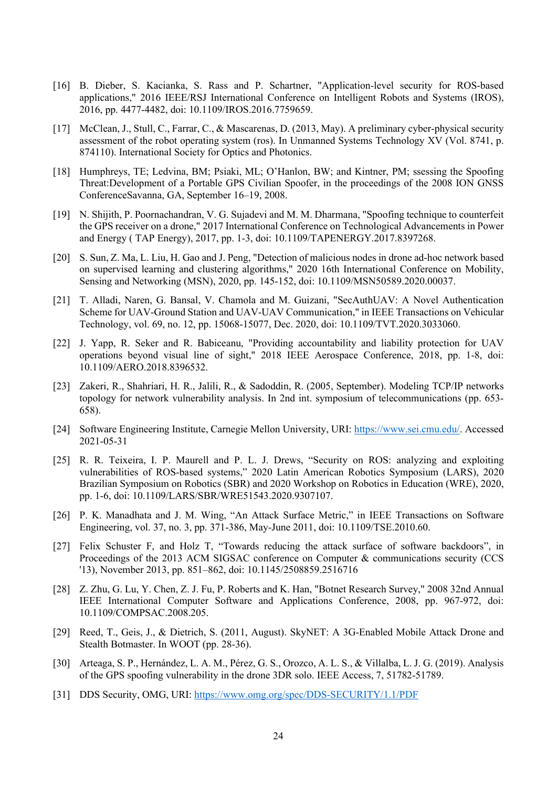- <span id="page-23-9"></span>[16] B. Dieber, S. Kacianka, S. Rass and P. Schartner, "Application-level security for ROS-based applications," 2016 IEEE/RSJ International Conference on Intelligent Robots and Systems (IROS), 2016, pp. 4477-4482, doi: 10.1109/IROS.2016.7759659.
- <span id="page-23-10"></span>[17] McClean, J., Stull, C., Farrar, C., & Mascarenas, D. (2013, May). A preliminary cyber-physical security assessment of the robot operating system (ros). In Unmanned Systems Technology XV (Vol. 8741, p. 874110). International Society for Optics and Photonics.
- <span id="page-23-7"></span>[18] Humphreys, TE; Ledvina, BM; Psiaki, ML; O'Hanlon, BW; and Kintner, PM; ssessing the Spoofing Threat:Development of a Portable GPS Civilian Spoofer, in the proceedings of the 2008 ION GNSS ConferenceSavanna, GA, September 16–19, 2008.
- <span id="page-23-8"></span>[19] N. Shijith, P. Poornachandran, V. G. Sujadevi and M. M. Dharmana, "Spoofing technique to counterfeit the GPS receiver on a drone," 2017 International Conference on Technological Advancements in Power and Energy ( TAP Energy), 2017, pp. 1-3, doi: 10.1109/TAPENERGY.2017.8397268.
- <span id="page-23-0"></span>[20] S. Sun, Z. Ma, L. Liu, H. Gao and J. Peng, "Detection of malicious nodes in drone ad-hoc network based on supervised learning and clustering algorithms," 2020 16th International Conference on Mobility, Sensing and Networking (MSN), 2020, pp. 145-152, doi: 10.1109/MSN50589.2020.00037.
- <span id="page-23-1"></span>[21] T. Alladi, Naren, G. Bansal, V. Chamola and M. Guizani, "SecAuthUAV: A Novel Authentication Scheme for UAV-Ground Station and UAV-UAV Communication," in IEEE Transactions on Vehicular Technology, vol. 69, no. 12, pp. 15068-15077, Dec. 2020, doi: 10.1109/TVT.2020.3033060.
- <span id="page-23-11"></span>[22] J. Yapp, R. Seker and R. Babiceanu, "Providing accountability and liability protection for UAV operations beyond visual line of sight," 2018 IEEE Aerospace Conference, 2018, pp. 1-8, doi: 10.1109/AERO.2018.8396532.
- <span id="page-23-2"></span>[23] Zakeri, R., Shahriari, H. R., Jalili, R., & Sadoddin, R. (2005, September). Modeling TCP/IP networks topology for network vulnerability analysis. In 2nd int. symposium of telecommunications (pp. 653- 658).
- <span id="page-23-3"></span>[24] Software Engineering Institute, Carnegie Mellon University, URI: [https://www.sei.cmu.edu/.](https://www.sei.cmu.edu/) Accessed 2021-05-31
- <span id="page-23-4"></span>[25] R. R. Teixeira, I. P. Maurell and P. L. J. Drews, "Security on ROS: analyzing and exploiting vulnerabilities of ROS-based systems," 2020 Latin American Robotics Symposium (LARS), 2020 Brazilian Symposium on Robotics (SBR) and 2020 Workshop on Robotics in Education (WRE), 2020, pp. 1-6, doi: 10.1109/LARS/SBR/WRE51543.2020.9307107.
- <span id="page-23-5"></span>[26] P. K. Manadhata and J. M. Wing, "An Attack Surface Metric," in IEEE Transactions on Software Engineering, vol. 37, no. 3, pp. 371-386, May-June 2011, doi: 10.1109/TSE.2010.60.
- <span id="page-23-6"></span>[27] Felix Schuster F, and Holz T, "Towards reducing the attack surface of software backdoors", in Proceedings of the 2013 ACM SIGSAC conference on Computer & communications security (CCS '13), November 2013, pp. 851–862, doi: 10.1145/2508859.2516716
- <span id="page-23-13"></span>[28] Z. Zhu, G. Lu, Y. Chen, Z. J. Fu, P. Roberts and K. Han, "Botnet Research Survey," 2008 32nd Annual IEEE International Computer Software and Applications Conference, 2008, pp. 967-972, doi: 10.1109/COMPSAC.2008.205.
- <span id="page-23-14"></span>[29] Reed, T., Geis, J., & Dietrich, S. (2011, August). SkyNET: A 3G-Enabled Mobile Attack Drone and Stealth Botmaster. In WOOT (pp. 28-36).
- <span id="page-23-12"></span>[30] Arteaga, S. P., Hernández, L. A. M., Pérez, G. S., Orozco, A. L. S., & Villalba, L. J. G. (2019). Analysis of the GPS spoofing vulnerability in the drone 3DR solo. IEEE Access, 7, 51782-51789.
- [31] DDS Security, OMG, URI:<https://www.omg.org/spec/DDS-SECURITY/1.1/PDF>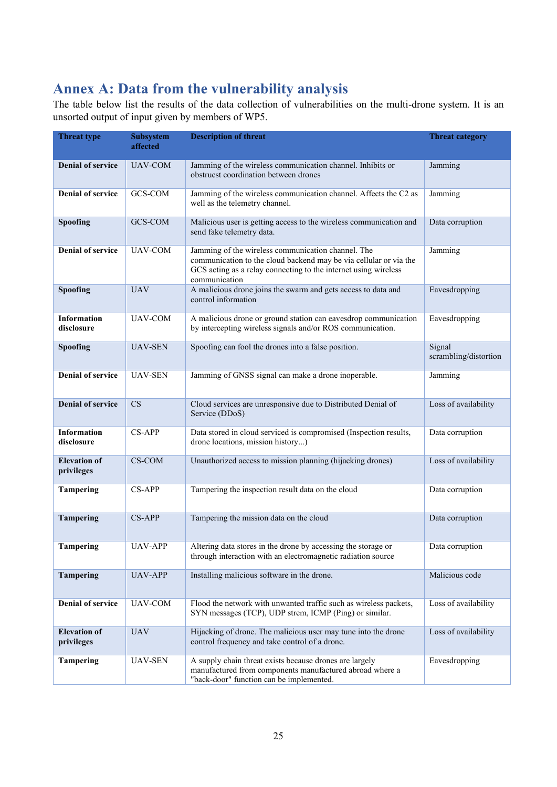# <span id="page-24-0"></span>**Annex A: Data from the vulnerability analysis**

The table below list the results of the data collection of vulnerabilities on the multi-drone system. It is an unsorted output of input given by members of WP5.

| <b>Threat type</b>                | <b>Subsystem</b><br>affected | <b>Description of threat</b>                                                                                                                                                                                | <b>Threat category</b>          |
|-----------------------------------|------------------------------|-------------------------------------------------------------------------------------------------------------------------------------------------------------------------------------------------------------|---------------------------------|
| <b>Denial of service</b>          | <b>UAV-COM</b>               | Jamming of the wireless communication channel. Inhibits or<br>obstrucst coordination between drones                                                                                                         | Jamming                         |
| <b>Denial of service</b>          | GCS-COM                      | Jamming of the wireless communication channel. Affects the C2 as<br>well as the telemetry channel.                                                                                                          | Jamming                         |
| Spoofing                          | GCS-COM                      | Malicious user is getting access to the wireless communication and<br>send fake telemetry data.                                                                                                             | Data corruption                 |
| Denial of service                 | <b>UAV-COM</b>               | Jamming of the wireless communication channel. The<br>communication to the cloud backend may be via cellular or via the<br>GCS acting as a relay connecting to the internet using wireless<br>communication | Jamming                         |
| Spoofing                          | <b>UAV</b>                   | A malicious drone joins the swarm and gets access to data and<br>control information                                                                                                                        | Eavesdropping                   |
| Information<br>disclosure         | UAV-COM                      | A malicious drone or ground station can eavesdrop communication<br>by intercepting wireless signals and/or ROS communication.                                                                               | Eavesdropping                   |
| Spoofing                          | <b>UAV-SEN</b>               | Spoofing can fool the drones into a false position.                                                                                                                                                         | Signal<br>scrambling/distortion |
| <b>Denial of service</b>          | <b>UAV-SEN</b>               | Jamming of GNSS signal can make a drone inoperable.                                                                                                                                                         | Jamming                         |
| <b>Denial of service</b>          | CS                           | Cloud services are unresponsive due to Distributed Denial of<br>Service (DDoS)                                                                                                                              | Loss of availability            |
| <b>Information</b><br>disclosure  | <b>CS-APP</b>                | Data stored in cloud serviced is compromised (Inspection results,<br>drone locations, mission history)                                                                                                      | Data corruption                 |
| <b>Elevation of</b><br>privileges | CS-COM                       | Unauthorized access to mission planning (hijacking drones)                                                                                                                                                  | Loss of availability            |
| <b>Tampering</b>                  | CS-APP                       | Tampering the inspection result data on the cloud                                                                                                                                                           | Data corruption                 |
| <b>Tampering</b>                  | <b>CS-APP</b>                | Tampering the mission data on the cloud                                                                                                                                                                     | Data corruption                 |
| <b>Tampering</b>                  | <b>UAV-APP</b>               | Altering data stores in the drone by accessing the storage or<br>through interaction with an electromagnetic radiation source                                                                               | Data corruption                 |
| <b>Tampering</b>                  | <b>UAV-APP</b>               | Installing malicious software in the drone.                                                                                                                                                                 | Malicious code                  |
| <b>Denial of service</b>          | UAV-COM                      | Flood the network with unwanted traffic such as wireless packets,<br>SYN messages (TCP), UDP strem, ICMP (Ping) or similar.                                                                                 | Loss of availability            |
| <b>Elevation of</b><br>privileges | <b>UAV</b>                   | Hijacking of drone. The malicious user may tune into the drone<br>control frequency and take control of a drone.                                                                                            | Loss of availability            |
| <b>Tampering</b>                  | <b>UAV-SEN</b>               | A supply chain threat exists because drones are largely<br>manufactured from components manufactured abroad where a<br>"back-door" function can be implemented.                                             | Eavesdropping                   |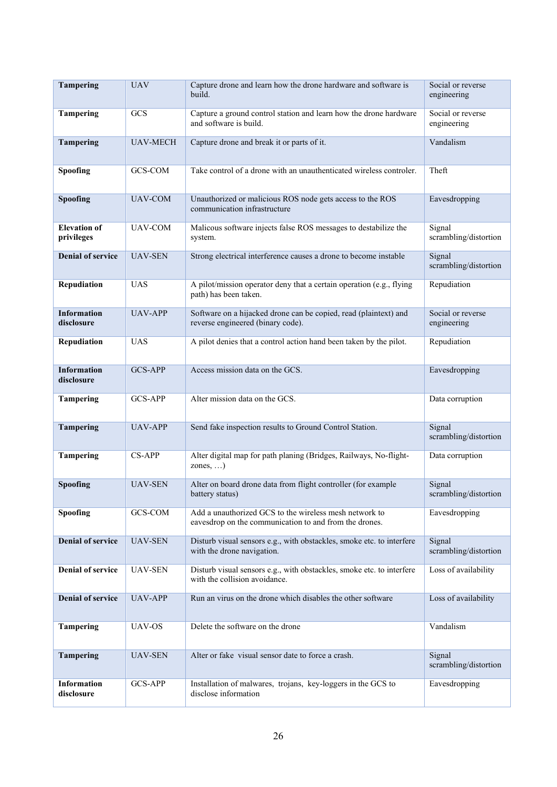| <b>Tampering</b>                  | <b>UAV</b>      | Capture drone and learn how the drone hardware and software is<br>build.                                         | Social or reverse<br>engineering |
|-----------------------------------|-----------------|------------------------------------------------------------------------------------------------------------------|----------------------------------|
| <b>Tampering</b>                  | GCS             | Capture a ground control station and learn how the drone hardware<br>and software is build.                      | Social or reverse<br>engineering |
| <b>Tampering</b>                  | <b>UAV-MECH</b> | Capture drone and break it or parts of it.                                                                       | Vandalism                        |
| Spoofing                          | GCS-COM         | Take control of a drone with an unauthenticated wireless controler.                                              | Theft                            |
| Spoofing                          | <b>UAV-COM</b>  | Unauthorized or malicious ROS node gets access to the ROS<br>communication infrastructure                        | Eavesdropping                    |
| <b>Elevation</b> of<br>privileges | <b>UAV-COM</b>  | Malicous software injects false ROS messages to destabilize the<br>system.                                       | Signal<br>scrambling/distortion  |
| <b>Denial of service</b>          | <b>UAV-SEN</b>  | Strong electrical interference causes a drone to become instable                                                 | Signal<br>scrambling/distortion  |
| Repudiation                       | <b>UAS</b>      | A pilot/mission operator deny that a certain operation (e.g., flying<br>path) has been taken.                    | Repudiation                      |
| Information<br>disclosure         | <b>UAV-APP</b>  | Software on a hijacked drone can be copied, read (plaintext) and<br>reverse engineered (binary code).            | Social or reverse<br>engineering |
| Repudiation                       | <b>UAS</b>      | A pilot denies that a control action hand been taken by the pilot.                                               | Repudiation                      |
| <b>Information</b><br>disclosure  | <b>GCS-APP</b>  | Access mission data on the GCS.                                                                                  | Eavesdropping                    |
| <b>Tampering</b>                  | <b>GCS-APP</b>  | Alter mission data on the GCS.                                                                                   | Data corruption                  |
| <b>Tampering</b>                  | <b>UAV-APP</b>  | Send fake inspection results to Ground Control Station.                                                          | Signal<br>scrambling/distortion  |
| <b>Tampering</b>                  | CS-APP          | Alter digital map for path planing (Bridges, Railways, No-flight-<br>zones, $\dots$ )                            | Data corruption                  |
| Spoofing                          | <b>UAV-SEN</b>  | Alter on board drone data from flight controller (for example<br>battery status)                                 | Signal<br>scrambling/distortion  |
| Spoofing                          | GCS-COM         | Add a unauthorized GCS to the wireless mesh network to<br>eavesdrop on the communication to and from the drones. | Eavesdropping                    |
| <b>Denial of service</b>          | <b>UAV-SEN</b>  | Disturb visual sensors e.g., with obstackles, smoke etc. to interfere<br>with the drone navigation.              | Signal<br>scrambling/distortion  |
| <b>Denial of service</b>          | <b>UAV-SEN</b>  | Disturb visual sensors e.g., with obstackles, smoke etc. to interfere<br>with the collision avoidance.           | Loss of availability             |
| <b>Denial of service</b>          | <b>UAV-APP</b>  | Run an virus on the drone which disables the other software                                                      | Loss of availability             |
| <b>Tampering</b>                  |                 |                                                                                                                  |                                  |
|                                   | UAV-OS          | Delete the software on the drone                                                                                 | Vandalism                        |
| <b>Tampering</b>                  | <b>UAV-SEN</b>  | Alter or fake visual sensor date to force a crash.                                                               | Signal<br>scrambling/distortion  |